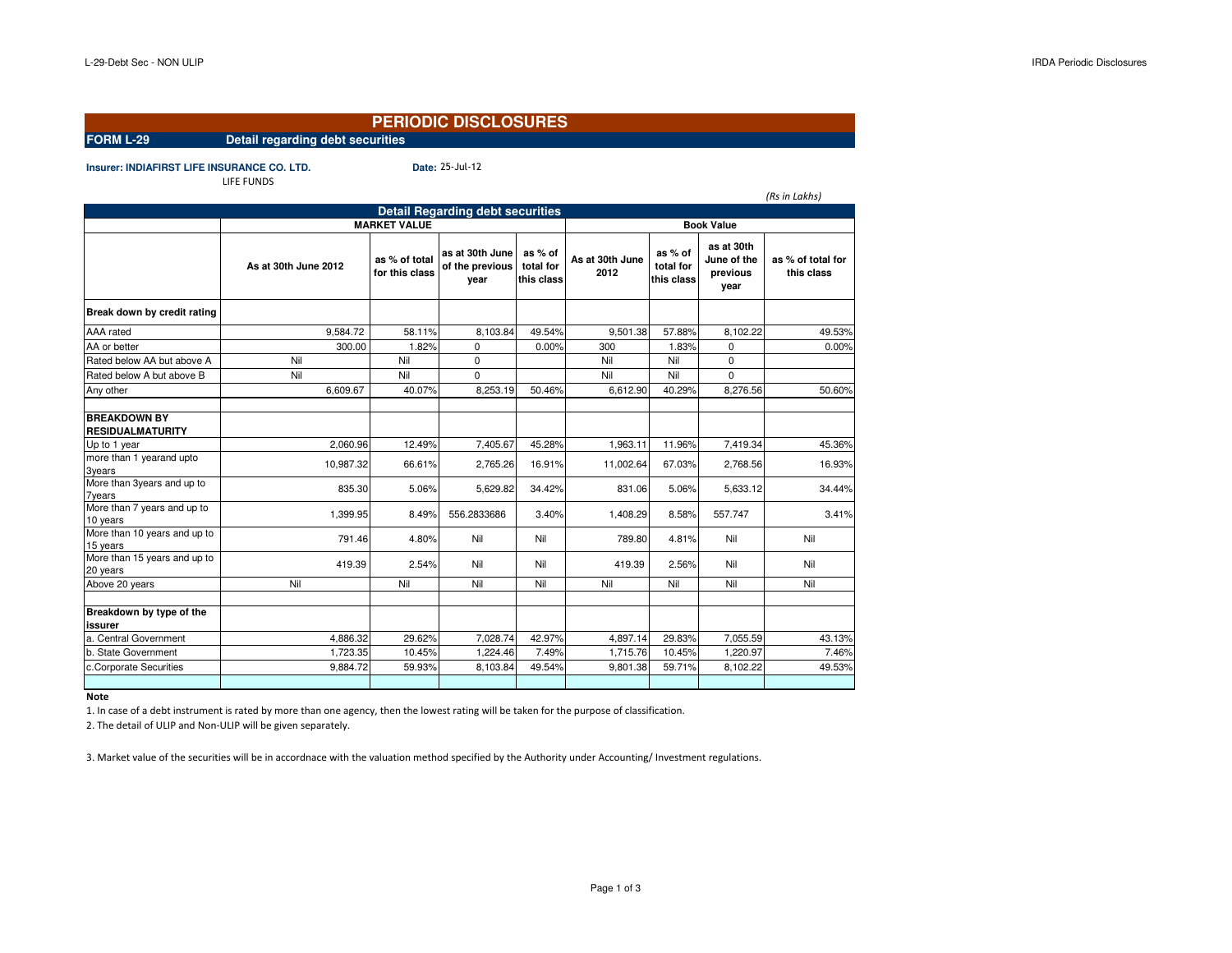## **PERIODIC DISCLOSURES**

25-Jul-12

**FORM L-29 Detail regarding debt securities**

**Insurer: INDIAFIRST LIFE INSURANCE CO. LTD.** 

|                                                | LIFE FUNDS           |                                 |                                            |                                    |                         |                                    |                                               |                                 |  |
|------------------------------------------------|----------------------|---------------------------------|--------------------------------------------|------------------------------------|-------------------------|------------------------------------|-----------------------------------------------|---------------------------------|--|
|                                                |                      |                                 |                                            |                                    |                         |                                    |                                               | (Rs in Lakhs)                   |  |
|                                                |                      |                                 | <b>Detail Regarding debt securities</b>    |                                    |                         |                                    |                                               |                                 |  |
|                                                | <b>MARKET VALUE</b>  |                                 |                                            |                                    | <b>Book Value</b>       |                                    |                                               |                                 |  |
|                                                | As at 30th June 2012 | as % of total<br>for this class | as at 30th June<br>of the previous<br>year | as % of<br>total for<br>this class | As at 30th June<br>2012 | as % of<br>total for<br>this class | as at 30th<br>June of the<br>previous<br>year | as % of total for<br>this class |  |
| Break down by credit rating                    |                      |                                 |                                            |                                    |                         |                                    |                                               |                                 |  |
| AAA rated                                      | 9,584.72             | 58.11%                          | 8,103.84                                   | 49.54%                             | 9.501.38                | 57.88%                             | 8,102.22                                      | 49.53%                          |  |
| AA or better                                   | 300.00               | 1.82%                           | 0                                          | 0.00%                              | 300                     | 1.83%                              | 0                                             | 0.00%                           |  |
| Rated below AA but above A                     | Nil                  | Nil                             | 0                                          |                                    | Nil                     | Nil                                | 0                                             |                                 |  |
| Rated below A but above B                      | Nil                  | Nil                             | $\Omega$                                   |                                    | Nil                     | Nil                                | $\Omega$                                      |                                 |  |
| Any other                                      | 6,609.67             | 40.07%                          | 8,253.19                                   | 50.46%                             | 6,612.90                | 40.29%                             | 8,276.56                                      | 50.60%                          |  |
| <b>BREAKDOWN BY</b><br><b>RESIDUALMATURITY</b> |                      |                                 |                                            |                                    |                         |                                    |                                               |                                 |  |
| Up to 1 year                                   | 2.060.96             | 12.49%                          | 7,405.67                                   | 45.28%                             | 1.963.11                | 11.96%                             | 7,419.34                                      | 45.36%                          |  |
| more than 1 yearand upto<br>3years             | 10,987.32            | 66.61%                          | 2,765.26                                   | 16.91%                             | 11,002.64               | 67.03%                             | 2,768.56                                      | 16.93%                          |  |
| More than 3years and up to<br><b>7years</b>    | 835.30               | 5.06%                           | 5,629.82                                   | 34.42%                             | 831.06                  | 5.06%                              | 5,633.12                                      | 34.44%                          |  |
| More than 7 years and up to<br>10 years        | 1,399.95             | 8.49%                           | 556.2833686                                | 3.40%                              | 1,408.29                | 8.58%                              | 557.747                                       | 3.41%                           |  |
| More than 10 years and up to<br>15 years       | 791.46               | 4.80%                           | Nil                                        | Nil                                | 789.80                  | 4.81%                              | Nil                                           | Nil                             |  |
| More than 15 years and up to<br>20 years       | 419.39               | 2.54%                           | Nil                                        | Nil                                | 419.39                  | 2.56%                              | Nil                                           | Nil                             |  |
| Above 20 years                                 | Nil                  | Nil                             | Nil                                        | Nil                                | Nil                     | Nil                                | Nil                                           | Nil                             |  |
| Breakdown by type of the<br>issurer            |                      |                                 |                                            |                                    |                         |                                    |                                               |                                 |  |
| a. Central Government                          | 4,886.32             | 29.62%                          | 7,028.74                                   | 42.97%                             | 4,897.14                | 29.83%                             | 7,055.59                                      | 43.13%                          |  |
| b. State Government                            | 1,723.35             | 10.45%                          | 1,224.46                                   | 7.49%                              | 1,715.76                | 10.45%                             | 1,220.97                                      | 7.46%                           |  |
| c.Corporate Securities                         | 9,884.72             | 59.93%                          | 8,103.84                                   | 49.54%                             | 9,801.38                | 59.71%                             | 8,102.22                                      | 49.53%                          |  |
|                                                |                      |                                 |                                            |                                    |                         |                                    |                                               |                                 |  |

**Note**

1. In case of a debt instrument is rated by more than one agency, then the lowest rating will be taken for the purpose of classification.

2. The detail of ULIP and Non-ULIP will be given separately.

3. Market value of the securities will be in accordnace with the valuation method specified by the Authority under Accounting/ Investment regulations.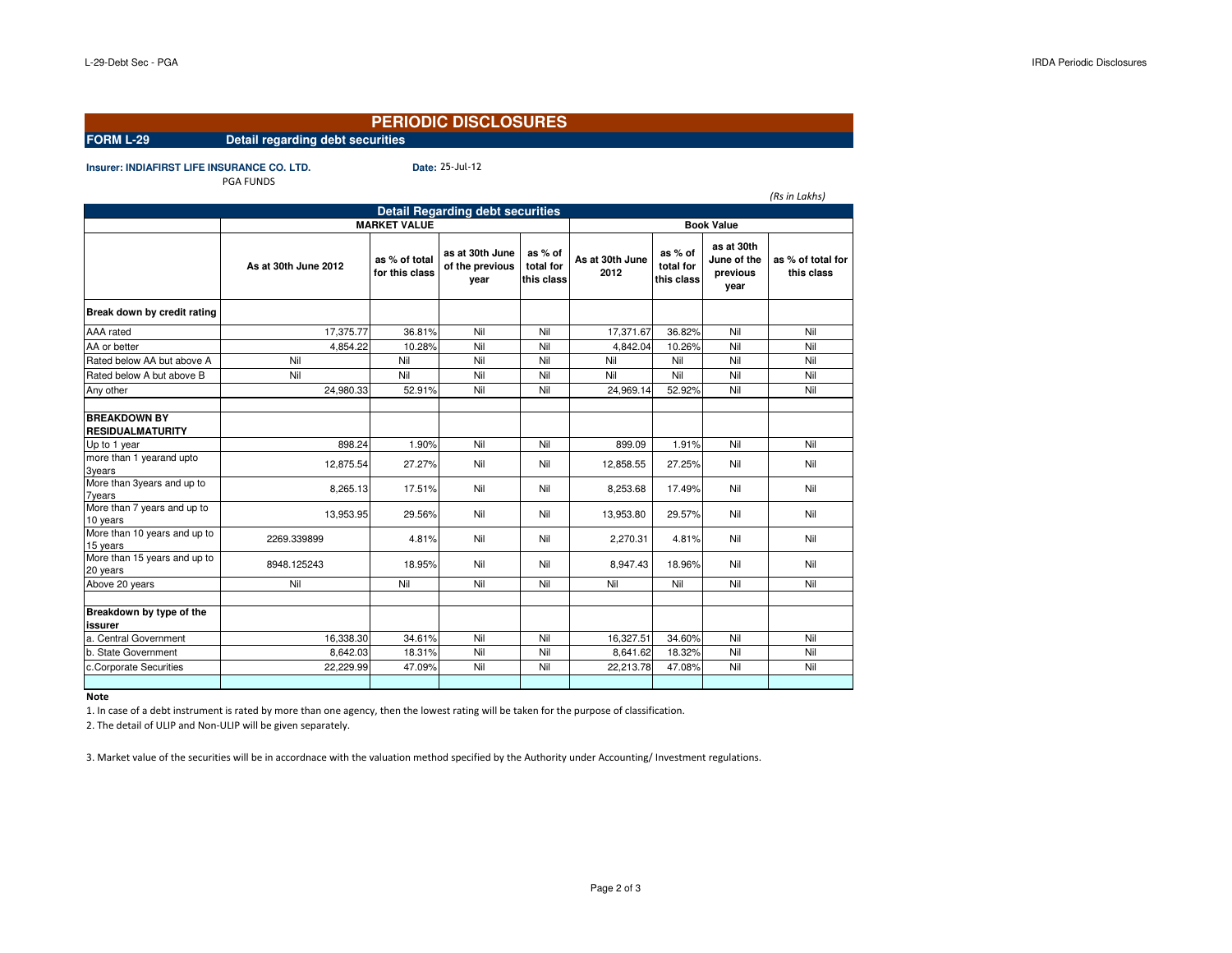# **PERIODIC DISCLOSURES**

25-Jul-12

**FORM L-29 Detail regarding debt securities**

**Insurer: INDIAFIRST LIFE INSURANCE CO. LTD.** PGA FUNDS

|                                                |                      |                                 | <b>Detail Regarding debt securities</b>    |                                    |                         |                                    |                                               | (Rs in Lakhs)                   |
|------------------------------------------------|----------------------|---------------------------------|--------------------------------------------|------------------------------------|-------------------------|------------------------------------|-----------------------------------------------|---------------------------------|
|                                                |                      |                                 |                                            |                                    |                         |                                    |                                               |                                 |
|                                                | <b>MARKET VALUE</b>  |                                 |                                            |                                    | <b>Book Value</b>       |                                    |                                               |                                 |
|                                                | As at 30th June 2012 | as % of total<br>for this class | as at 30th June<br>of the previous<br>vear | as % of<br>total for<br>this class | As at 30th June<br>2012 | as % of<br>total for<br>this class | as at 30th<br>June of the<br>previous<br>year | as % of total for<br>this class |
| Break down by credit rating                    |                      |                                 |                                            |                                    |                         |                                    |                                               |                                 |
| AAA rated                                      | 17,375.77            | 36.81%                          | Nil                                        | Nil                                | 17,371.67               | 36.82%                             | Nil                                           | Nil                             |
| AA or better                                   | 4,854.22             | 10.28%                          | Nil                                        | Nil                                | 4.842.04                | 10.26%                             | Nil                                           | Nil                             |
| Rated below AA but above A                     | Nil                  | Nil                             | Nil                                        | Nil                                | Nil                     | Nil                                | Nil                                           | Nil                             |
| Rated below A but above B                      | Nil                  | Nil                             | Nil                                        | Nil                                | Nil                     | Nil                                | Nil                                           | Nil                             |
| Any other                                      | 24.980.33            | 52.91%                          | Nil                                        | Nil                                | 24.969.14               | 52.92%                             | Nil                                           | Nil                             |
| <b>BREAKDOWN BY</b><br><b>RESIDUALMATURITY</b> |                      |                                 |                                            |                                    |                         |                                    |                                               |                                 |
| Up to 1 year                                   | 898.24               | 1.90%                           | Nil                                        | Nil                                | 899.09                  | 1.91%                              | Nil                                           | Nil                             |
| more than 1 yearand upto<br>3years             | 12.875.54            | 27.27%                          | Nil                                        | Nil                                | 12.858.55               | 27.25%                             | Nil                                           | Nil                             |
| More than 3years and up to<br><b>7years</b>    | 8,265.13             | 17.51%                          | Nil                                        | Nil                                | 8,253.68                | 17.49%                             | Nil                                           | Nil                             |
| More than 7 years and up to<br>10 years        | 13,953.95            | 29.56%                          | Nil                                        | Nil                                | 13,953.80               | 29.57%                             | Nil                                           | Nil                             |
| More than 10 years and up to<br>15 years       | 2269.339899          | 4.81%                           | Nil                                        | Nil                                | 2,270.31                | 4.81%                              | Nil                                           | Nil                             |
| More than 15 years and up to<br>20 years       | 8948.125243          | 18.95%                          | Nil                                        | Nil                                | 8,947.43                | 18.96%                             | Nil                                           | Nil                             |
| Above 20 years                                 | Nil                  | Nil                             | Nil                                        | Nil                                | Nil                     | Nil                                | Nil                                           | Nil                             |
| Breakdown by type of the<br>issurer            |                      |                                 | Nil                                        |                                    |                         |                                    |                                               |                                 |
| a. Central Government                          | 16,338.30            | 34.61%                          |                                            | Nil                                | 16,327.51               | 34.60%                             | Nil                                           | Nil                             |
| b. State Government                            | 8,642.03             | 18.31%                          | Nil                                        | Nil                                | 8,641.62                | 18.32%                             | Nil                                           | Nil                             |
| c.Corporate Securities                         | 22,229.99            | 47.09%                          | Nil                                        | Nil                                | 22,213.78               | 47.08%                             | Nil                                           | Nil                             |
|                                                |                      |                                 |                                            |                                    |                         |                                    |                                               |                                 |

**Note**

1. In case of a debt instrument is rated by more than one agency, then the lowest rating will be taken for the purpose of classification.

2. The detail of ULIP and Non-ULIP will be given separately.

3. Market value of the securities will be in accordnace with the valuation method specified by the Authority under Accounting/ Investment regulations.